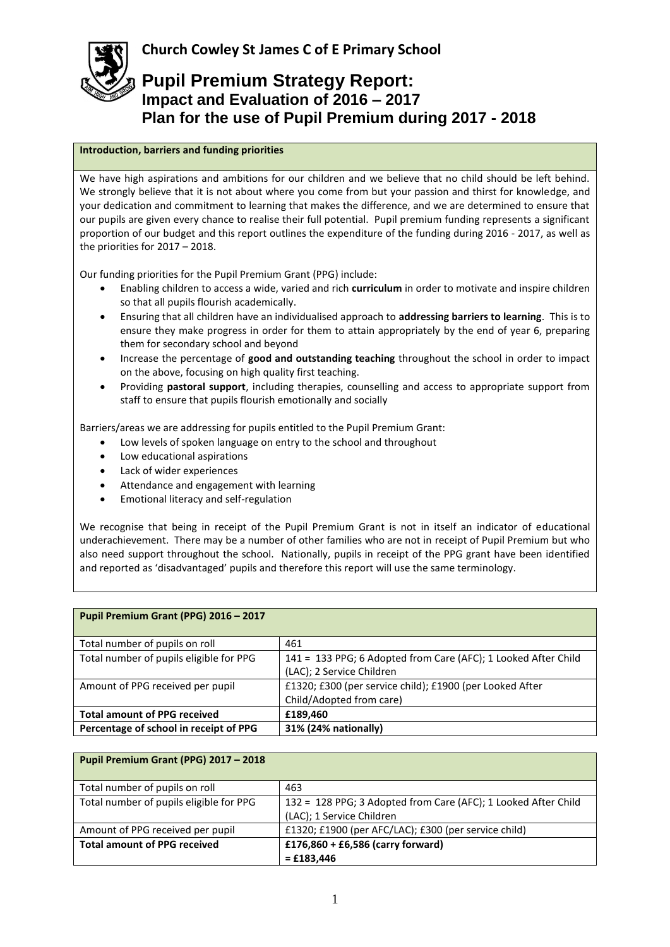

### **Introduction, barriers and funding priorities**

We have high aspirations and ambitions for our children and we believe that no child should be left behind. We strongly believe that it is not about where you come from but your passion and thirst for knowledge, and your dedication and commitment to learning that makes the difference, and we are determined to ensure that our pupils are given every chance to realise their full potential. Pupil premium funding represents a significant proportion of our budget and this report outlines the expenditure of the funding during 2016 - 2017, as well as the priorities for 2017 – 2018.

Our funding priorities for the Pupil Premium Grant (PPG) include:

- Enabling children to access a wide, varied and rich **curriculum** in order to motivate and inspire children so that all pupils flourish academically.
- Ensuring that all children have an individualised approach to **addressing barriers to learning**. This is to ensure they make progress in order for them to attain appropriately by the end of year 6, preparing them for secondary school and beyond
- Increase the percentage of **good and outstanding teaching** throughout the school in order to impact on the above, focusing on high quality first teaching.
- Providing **pastoral support**, including therapies, counselling and access to appropriate support from staff to ensure that pupils flourish emotionally and socially

Barriers/areas we are addressing for pupils entitled to the Pupil Premium Grant:

- Low levels of spoken language on entry to the school and throughout
- Low educational aspirations
- Lack of wider experiences
- Attendance and engagement with learning
- Emotional literacy and self-regulation

We recognise that being in receipt of the Pupil Premium Grant is not in itself an indicator of educational underachievement. There may be a number of other families who are not in receipt of Pupil Premium but who also need support throughout the school. Nationally, pupils in receipt of the PPG grant have been identified and reported as 'disadvantaged' pupils and therefore this report will use the same terminology.

| Pupil Premium Grant (PPG) 2016 - 2017   |                                                                                             |
|-----------------------------------------|---------------------------------------------------------------------------------------------|
| Total number of pupils on roll          | 461                                                                                         |
| Total number of pupils eligible for PPG | 141 = 133 PPG; 6 Adopted from Care (AFC); 1 Looked After Child<br>(LAC); 2 Service Children |
| Amount of PPG received per pupil        | £1320; £300 (per service child); £1900 (per Looked After<br>Child/Adopted from care)        |
| <b>Total amount of PPG received</b>     | £189,460                                                                                    |
| Percentage of school in receipt of PPG  | 31% (24% nationally)                                                                        |

| Pupil Premium Grant (PPG) 2017 - 2018   |                                                                |
|-----------------------------------------|----------------------------------------------------------------|
| Total number of pupils on roll          | 463                                                            |
| Total number of pupils eligible for PPG | 132 = 128 PPG; 3 Adopted from Care (AFC); 1 Looked After Child |
|                                         | (LAC); 1 Service Children                                      |
| Amount of PPG received per pupil        | £1320; £1900 (per AFC/LAC); £300 (per service child)           |
| <b>Total amount of PPG received</b>     | £176,860 + £6,586 (carry forward)                              |
|                                         | $=$ £183,446                                                   |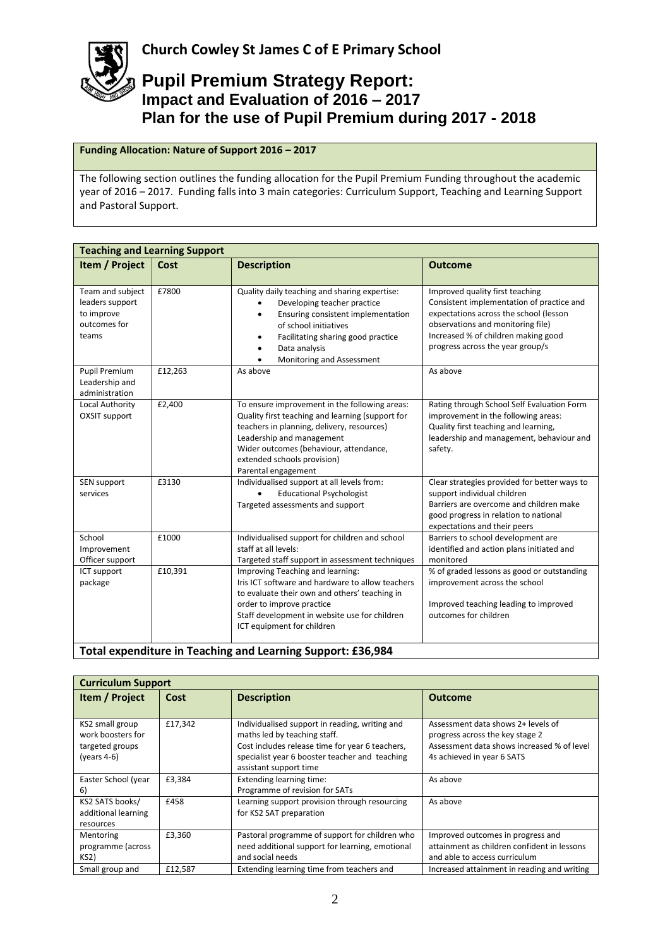

### **Funding Allocation: Nature of Support 2016 – 2017**

The following section outlines the funding allocation for the Pupil Premium Funding throughout the academic year of 2016 – 2017. Funding falls into 3 main categories: Curriculum Support, Teaching and Learning Support and Pastoral Support.

| <b>Teaching and Learning Support</b>                                       |         |                                                                                                                                                                                                                                                                              |                                                                                                                                                                                                                                        |
|----------------------------------------------------------------------------|---------|------------------------------------------------------------------------------------------------------------------------------------------------------------------------------------------------------------------------------------------------------------------------------|----------------------------------------------------------------------------------------------------------------------------------------------------------------------------------------------------------------------------------------|
| Item / Project                                                             | Cost    | <b>Description</b>                                                                                                                                                                                                                                                           | <b>Outcome</b>                                                                                                                                                                                                                         |
| Team and subject<br>leaders support<br>to improve<br>outcomes for<br>teams | £7800   | Quality daily teaching and sharing expertise:<br>Developing teacher practice<br>Ensuring consistent implementation<br>of school initiatives<br>Facilitating sharing good practice<br>Data analysis<br>Monitoring and Assessment                                              | Improved quality first teaching<br>Consistent implementation of practice and<br>expectations across the school (lesson<br>observations and monitoring file)<br>Increased % of children making good<br>progress across the year group/s |
| <b>Pupil Premium</b><br>Leadership and<br>administration                   | £12,263 | As above                                                                                                                                                                                                                                                                     | As above                                                                                                                                                                                                                               |
| Local Authority<br><b>OXSIT support</b>                                    | £2,400  | To ensure improvement in the following areas:<br>Quality first teaching and learning (support for<br>teachers in planning, delivery, resources)<br>Leadership and management<br>Wider outcomes (behaviour, attendance,<br>extended schools provision)<br>Parental engagement | Rating through School Self Evaluation Form<br>improvement in the following areas:<br>Quality first teaching and learning,<br>leadership and management, behaviour and<br>safety.                                                       |
| SEN support<br>services                                                    | £3130   | Individualised support at all levels from:<br><b>Educational Psychologist</b><br>Targeted assessments and support                                                                                                                                                            | Clear strategies provided for better ways to<br>support individual children<br>Barriers are overcome and children make<br>good progress in relation to national<br>expectations and their peers                                        |
| School<br>Improvement<br>Officer support                                   | £1000   | Individualised support for children and school<br>staff at all levels:<br>Targeted staff support in assessment techniques                                                                                                                                                    | Barriers to school development are<br>identified and action plans initiated and<br>monitored                                                                                                                                           |
| ICT support<br>package                                                     | £10,391 | Improving Teaching and learning:<br>Iris ICT software and hardware to allow teachers<br>to evaluate their own and others' teaching in<br>order to improve practice<br>Staff development in website use for children<br>ICT equipment for children                            | % of graded lessons as good or outstanding<br>improvement across the school<br>Improved teaching leading to improved<br>outcomes for children                                                                                          |
| Total expenditure in Teaching and Learning Support: £36,984                |         |                                                                                                                                                                                                                                                                              |                                                                                                                                                                                                                                        |

| <b>Curriculum Support</b>                                                 |         |                                                                                                                                                                                                               |                                                                                                                                                   |
|---------------------------------------------------------------------------|---------|---------------------------------------------------------------------------------------------------------------------------------------------------------------------------------------------------------------|---------------------------------------------------------------------------------------------------------------------------------------------------|
| <b>Item / Project</b>                                                     | Cost    | <b>Description</b>                                                                                                                                                                                            | <b>Outcome</b>                                                                                                                                    |
| KS2 small group<br>work boosters for<br>targeted groups<br>(years $4-6$ ) | £17.342 | Individualised support in reading, writing and<br>maths led by teaching staff.<br>Cost includes release time for year 6 teachers,<br>specialist year 6 booster teacher and teaching<br>assistant support time | Assessment data shows 2+ levels of<br>progress across the key stage 2<br>Assessment data shows increased % of level<br>4s achieved in year 6 SATS |
| Easter School (year<br>6)                                                 | £3,384  | Extending learning time:<br>Programme of revision for SATs                                                                                                                                                    | As above                                                                                                                                          |
| KS2 SATS books/<br>additional learning<br>resources                       | £458    | Learning support provision through resourcing<br>for KS2 SAT preparation                                                                                                                                      | As above                                                                                                                                          |
| Mentoring<br>programme (across<br>KS <sub>2</sub> )                       | £3,360  | Pastoral programme of support for children who<br>need additional support for learning, emotional<br>and social needs                                                                                         | Improved outcomes in progress and<br>attainment as children confident in lessons<br>and able to access curriculum                                 |
| Small group and                                                           | £12.587 | Extending learning time from teachers and                                                                                                                                                                     | Increased attainment in reading and writing                                                                                                       |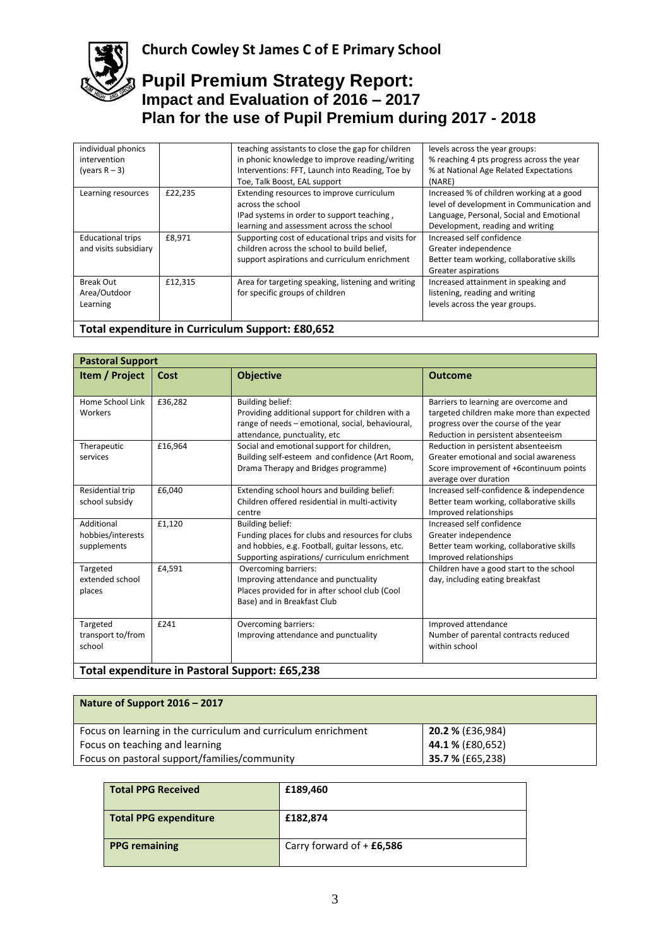# **Church Cowley St James C of E Primary School**

### **Pupil Premium Strategy Report: Impact and Evaluation of 2016 – 2017 Plan for the use of Pupil Premium during 2017 - 2018**

| individual phonics       |         | teaching assistants to close the gap for children   | levels across the year groups:            |
|--------------------------|---------|-----------------------------------------------------|-------------------------------------------|
| intervention             |         | in phonic knowledge to improve reading/writing      | % reaching 4 pts progress across the year |
| (years $R - 3$ )         |         | Interventions: FFT, Launch into Reading, Toe by     | % at National Age Related Expectations    |
|                          |         | Toe, Talk Boost, EAL support                        | (NARE)                                    |
| Learning resources       | £22.235 | Extending resources to improve curriculum           | Increased % of children working at a good |
|                          |         | across the school                                   | level of development in Communication and |
|                          |         | IPad systems in order to support teaching,          | Language, Personal, Social and Emotional  |
|                          |         | learning and assessment across the school           | Development, reading and writing          |
| <b>Educational trips</b> | £8.971  | Supporting cost of educational trips and visits for | Increased self confidence                 |
| and visits subsidiary    |         | children across the school to build belief,         | Greater independence                      |
|                          |         | support aspirations and curriculum enrichment       | Better team working, collaborative skills |
|                          |         |                                                     | Greater aspirations                       |
| <b>Break Out</b>         | £12.315 | Area for targeting speaking, listening and writing  | Increased attainment in speaking and      |
| Area/Outdoor             |         | for specific groups of children                     | listening, reading and writing            |
| Learning                 |         |                                                     | levels across the year groups.            |
|                          |         |                                                     |                                           |
|                          |         |                                                     |                                           |

### **Total expenditure in Curriculum Support: £80,652**

| <b>Pastoral Support</b>                        |         |                                                                                                                                                                                  |                                                                                                                                                                   |
|------------------------------------------------|---------|----------------------------------------------------------------------------------------------------------------------------------------------------------------------------------|-------------------------------------------------------------------------------------------------------------------------------------------------------------------|
| Item / Project                                 | Cost    | <b>Objective</b>                                                                                                                                                                 | <b>Outcome</b>                                                                                                                                                    |
| Home School Link<br>Workers                    | £36,282 | <b>Building belief:</b><br>Providing additional support for children with a<br>range of needs - emotional, social, behavioural,<br>attendance, punctuality, etc                  | Barriers to learning are overcome and<br>targeted children make more than expected<br>progress over the course of the year<br>Reduction in persistent absenteeism |
| Therapeutic<br>services                        | £16,964 | Social and emotional support for children,<br>Building self-esteem and confidence (Art Room,<br>Drama Therapy and Bridges programme)                                             | Reduction in persistent absenteeism<br>Greater emotional and social awareness<br>Score improvement of +6continuum points<br>average over duration                 |
| Residential trip<br>school subsidy             | £6,040  | Extending school hours and building belief:<br>Children offered residential in multi-activity<br>centre                                                                          | Increased self-confidence & independence<br>Better team working, collaborative skills<br>Improved relationships                                                   |
| Additional<br>hobbies/interests<br>supplements | £1,120  | <b>Building belief:</b><br>Funding places for clubs and resources for clubs<br>and hobbies, e.g. Football, guitar lessons, etc.<br>Supporting aspirations/ curriculum enrichment | Increased self confidence<br>Greater independence<br>Better team working, collaborative skills<br>Improved relationships                                          |
| Targeted<br>extended school<br>places          | £4,591  | Overcoming barriers:<br>Improving attendance and punctuality<br>Places provided for in after school club (Cool<br>Base) and in Breakfast Club                                    | Children have a good start to the school<br>day, including eating breakfast                                                                                       |
| Targeted<br>transport to/from<br>school        | £241    | Overcoming barriers:<br>Improving attendance and punctuality                                                                                                                     | Improved attendance<br>Number of parental contracts reduced<br>within school                                                                                      |
| Total expenditure in Pastoral Support: £65,238 |         |                                                                                                                                                                                  |                                                                                                                                                                   |

| Nature of Support 2016 – 2017                                 |                  |
|---------------------------------------------------------------|------------------|
| Focus on learning in the curriculum and curriculum enrichment | 20.2 % (£36,984) |
| Focus on teaching and learning                                | 44.1 % (£80,652) |
| Focus on pastoral support/families/community                  | 35.7 % (£65,238) |

| Total PPG Received    | £189,460                    |
|-----------------------|-----------------------------|
| Total PPG expenditure | £182,874                    |
| <b>PPG</b> remaining  | Carry forward of $+$ £6,586 |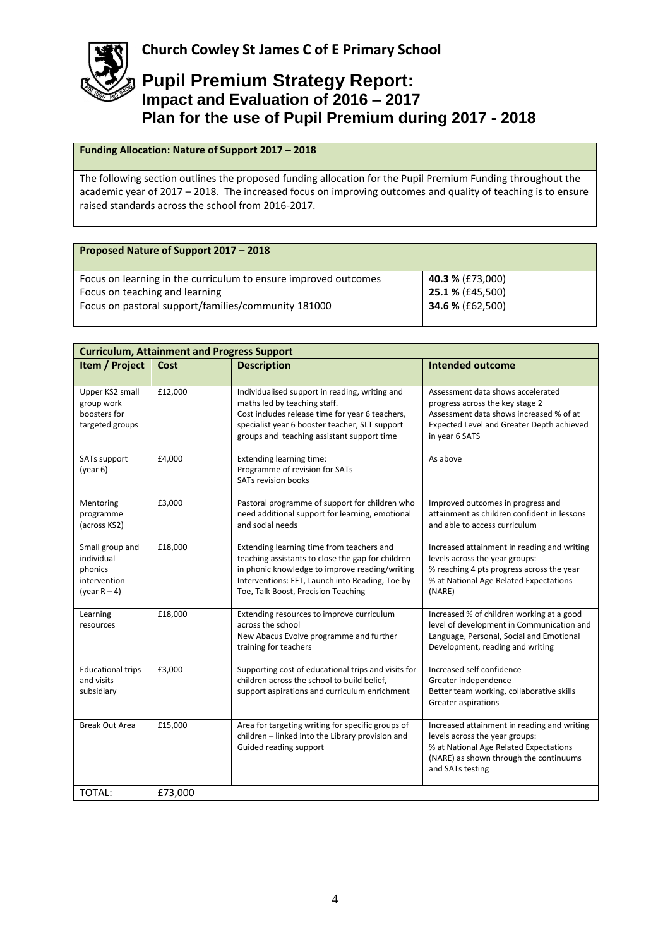

**Funding Allocation: Nature of Support 2017 – 2018**

The following section outlines the proposed funding allocation for the Pupil Premium Funding throughout the academic year of 2017 – 2018. The increased focus on improving outcomes and quality of teaching is to ensure raised standards across the school from 2016-2017.

| Proposed Nature of Support 2017 - 2018                          |                  |
|-----------------------------------------------------------------|------------------|
| Focus on learning in the curriculum to ensure improved outcomes | 40.3 % (£73,000) |
| Focus on teaching and learning                                  | 25.1 % (£45,500) |
| Focus on pastoral support/families/community 181000             | 34.6 % (£62,500) |
|                                                                 |                  |

| <b>Curriculum, Attainment and Progress Support</b>                          |         |                                                                                                                                                                                                                                            |                                                                                                                                                                                       |
|-----------------------------------------------------------------------------|---------|--------------------------------------------------------------------------------------------------------------------------------------------------------------------------------------------------------------------------------------------|---------------------------------------------------------------------------------------------------------------------------------------------------------------------------------------|
| Item / Project                                                              | Cost    | <b>Description</b>                                                                                                                                                                                                                         | <b>Intended outcome</b>                                                                                                                                                               |
| Upper KS2 small<br>group work<br>boosters for<br>targeted groups            | £12,000 | Individualised support in reading, writing and<br>maths led by teaching staff.<br>Cost includes release time for year 6 teachers,<br>specialist year 6 booster teacher, SLT support<br>groups and teaching assistant support time          | Assessment data shows accelerated<br>progress across the key stage 2<br>Assessment data shows increased % of at<br>Expected Level and Greater Depth achieved<br>in year 6 SATS        |
| SATs support<br>(year 6)                                                    | £4,000  | Extending learning time:<br>Programme of revision for SATs<br>SATs revision books                                                                                                                                                          | As above                                                                                                                                                                              |
| Mentoring<br>programme<br>(across KS2)                                      | £3,000  | Pastoral programme of support for children who<br>need additional support for learning, emotional<br>and social needs                                                                                                                      | Improved outcomes in progress and<br>attainment as children confident in lessons<br>and able to access curriculum                                                                     |
| Small group and<br>individual<br>phonics<br>intervention<br>(year $R - 4$ ) | £18,000 | Extending learning time from teachers and<br>teaching assistants to close the gap for children<br>in phonic knowledge to improve reading/writing<br>Interventions: FFT, Launch into Reading, Toe by<br>Toe, Talk Boost, Precision Teaching | Increased attainment in reading and writing<br>levels across the year groups:<br>% reaching 4 pts progress across the year<br>% at National Age Related Expectations<br>(NARE)        |
| Learning<br>resources                                                       | £18,000 | Extending resources to improve curriculum<br>across the school<br>New Abacus Evolve programme and further<br>training for teachers                                                                                                         | Increased % of children working at a good<br>level of development in Communication and<br>Language, Personal, Social and Emotional<br>Development, reading and writing                |
| <b>Educational trips</b><br>and visits<br>subsidiary                        | £3,000  | Supporting cost of educational trips and visits for<br>children across the school to build belief,<br>support aspirations and curriculum enrichment                                                                                        | Increased self confidence<br>Greater independence<br>Better team working, collaborative skills<br>Greater aspirations                                                                 |
| <b>Break Out Area</b>                                                       | £15,000 | Area for targeting writing for specific groups of<br>children - linked into the Library provision and<br>Guided reading support                                                                                                            | Increased attainment in reading and writing<br>levels across the year groups:<br>% at National Age Related Expectations<br>(NARE) as shown through the continuums<br>and SATs testing |
| TOTAL:                                                                      | £73,000 |                                                                                                                                                                                                                                            |                                                                                                                                                                                       |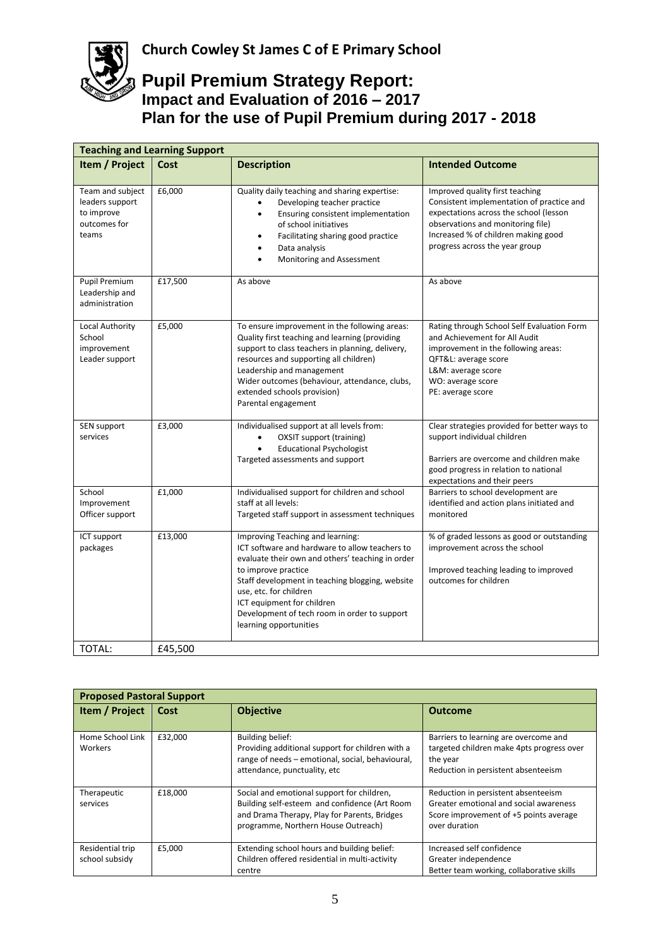| <b>Teaching and Learning Support</b>                                       |         |                                                                                                                                                                                                                                                                                                                                                    |                                                                                                                                                                                                                                      |
|----------------------------------------------------------------------------|---------|----------------------------------------------------------------------------------------------------------------------------------------------------------------------------------------------------------------------------------------------------------------------------------------------------------------------------------------------------|--------------------------------------------------------------------------------------------------------------------------------------------------------------------------------------------------------------------------------------|
| Item / Project                                                             | Cost    | <b>Description</b>                                                                                                                                                                                                                                                                                                                                 | <b>Intended Outcome</b>                                                                                                                                                                                                              |
| Team and subject<br>leaders support<br>to improve<br>outcomes for<br>teams | £6,000  | Quality daily teaching and sharing expertise:<br>Developing teacher practice<br>Ensuring consistent implementation<br>of school initiatives<br>Facilitating sharing good practice<br>Data analysis<br>Monitoring and Assessment                                                                                                                    | Improved quality first teaching<br>Consistent implementation of practice and<br>expectations across the school (lesson<br>observations and monitoring file)<br>Increased % of children making good<br>progress across the year group |
| Pupil Premium<br>Leadership and<br>administration                          | £17,500 | As above                                                                                                                                                                                                                                                                                                                                           | As above                                                                                                                                                                                                                             |
| Local Authority<br>School<br>improvement<br>Leader support                 | £5,000  | To ensure improvement in the following areas:<br>Quality first teaching and learning (providing<br>support to class teachers in planning, delivery,<br>resources and supporting all children)<br>Leadership and management<br>Wider outcomes (behaviour, attendance, clubs,<br>extended schools provision)<br>Parental engagement                  | Rating through School Self Evaluation Form<br>and Achievement for All Audit<br>improvement in the following areas:<br>QFT&L: average score<br>L&M: average score<br>WO: average score<br>PE: average score                           |
| SEN support<br>services                                                    | £3,000  | Individualised support at all levels from:<br>OXSIT support (training)<br><b>Educational Psychologist</b><br>Targeted assessments and support                                                                                                                                                                                                      | Clear strategies provided for better ways to<br>support individual children<br>Barriers are overcome and children make<br>good progress in relation to national<br>expectations and their peers                                      |
| School<br>Improvement<br>Officer support                                   | £1,000  | Individualised support for children and school<br>staff at all levels:<br>Targeted staff support in assessment techniques                                                                                                                                                                                                                          | Barriers to school development are<br>identified and action plans initiated and<br>monitored                                                                                                                                         |
| ICT support<br>packages                                                    | £13,000 | Improving Teaching and learning:<br>ICT software and hardware to allow teachers to<br>evaluate their own and others' teaching in order<br>to improve practice<br>Staff development in teaching blogging, website<br>use, etc. for children<br>ICT equipment for children<br>Development of tech room in order to support<br>learning opportunities | % of graded lessons as good or outstanding<br>improvement across the school<br>Improved teaching leading to improved<br>outcomes for children                                                                                        |
| TOTAL:                                                                     | £45,500 |                                                                                                                                                                                                                                                                                                                                                    |                                                                                                                                                                                                                                      |

| <b>Proposed Pastoral Support</b>   |         |                                                                                                                                                                                    |                                                                                                                                          |
|------------------------------------|---------|------------------------------------------------------------------------------------------------------------------------------------------------------------------------------------|------------------------------------------------------------------------------------------------------------------------------------------|
| Item / Project                     | Cost    | <b>Objective</b>                                                                                                                                                                   | <b>Outcome</b>                                                                                                                           |
| Home School Link<br>Workers        | £32.000 | Building belief:<br>Providing additional support for children with a<br>range of needs - emotional, social, behavioural,<br>attendance, punctuality, etc                           | Barriers to learning are overcome and<br>targeted children make 4pts progress over<br>the year<br>Reduction in persistent absenteeism    |
| Therapeutic<br>services            | £18,000 | Social and emotional support for children,<br>Building self-esteem and confidence (Art Room<br>and Drama Therapy, Play for Parents, Bridges<br>programme, Northern House Outreach) | Reduction in persistent absenteeism<br>Greater emotional and social awareness<br>Score improvement of +5 points average<br>over duration |
| Residential trip<br>school subsidy | £5,000  | Extending school hours and building belief:<br>Children offered residential in multi-activity<br>centre                                                                            | Increased self confidence<br>Greater independence<br>Better team working, collaborative skills                                           |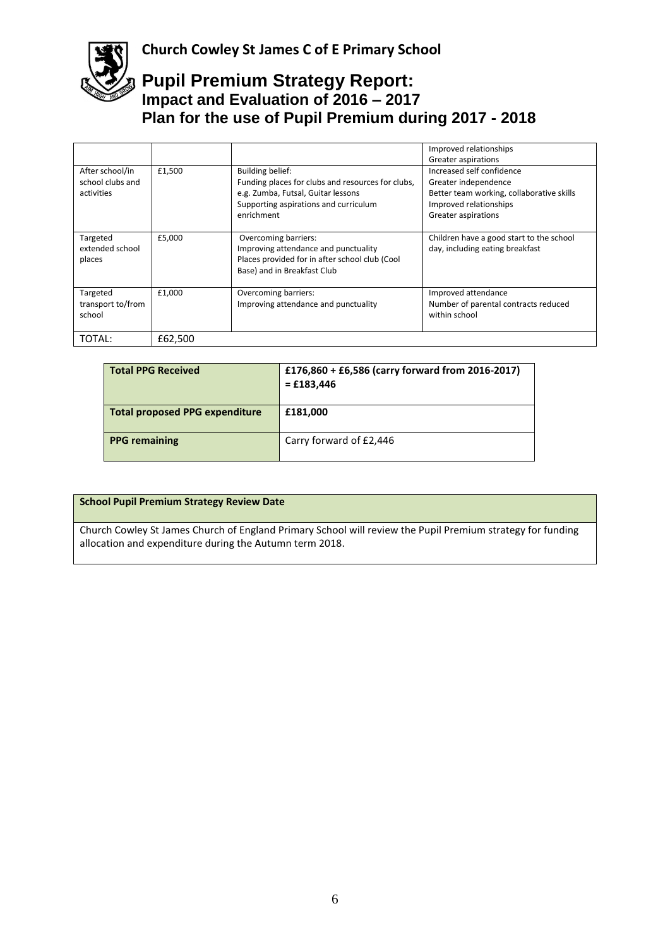

|                                                   |         |                                                                                                                                                                           | Improved relationships<br>Greater aspirations                                                                                                   |
|---------------------------------------------------|---------|---------------------------------------------------------------------------------------------------------------------------------------------------------------------------|-------------------------------------------------------------------------------------------------------------------------------------------------|
| After school/in<br>school clubs and<br>activities | £1,500  | <b>Building belief:</b><br>Funding places for clubs and resources for clubs,<br>e.g. Zumba, Futsal, Guitar lessons<br>Supporting aspirations and curriculum<br>enrichment | Increased self confidence<br>Greater independence<br>Better team working, collaborative skills<br>Improved relationships<br>Greater aspirations |
| Targeted<br>extended school<br>places             | £5.000  | Overcoming barriers:<br>Improving attendance and punctuality<br>Places provided for in after school club (Cool<br>Base) and in Breakfast Club                             | Children have a good start to the school<br>day, including eating breakfast                                                                     |
| Targeted<br>transport to/from<br>school           | £1,000  | Overcoming barriers:<br>Improving attendance and punctuality                                                                                                              | Improved attendance<br>Number of parental contracts reduced<br>within school                                                                    |
| TOTAL:                                            | £62,500 |                                                                                                                                                                           |                                                                                                                                                 |

| <b>Total PPG Received</b>             | £176,860 + £6,586 (carry forward from 2016-2017)<br>$=$ £183,446 |
|---------------------------------------|------------------------------------------------------------------|
| <b>Total proposed PPG expenditure</b> | £181,000                                                         |
| <b>PPG</b> remaining                  | Carry forward of £2,446                                          |

|  |  | <b>School Pupil Premium Strategy Review Date</b> |  |
|--|--|--------------------------------------------------|--|
|--|--|--------------------------------------------------|--|

Church Cowley St James Church of England Primary School will review the Pupil Premium strategy for funding allocation and expenditure during the Autumn term 2018.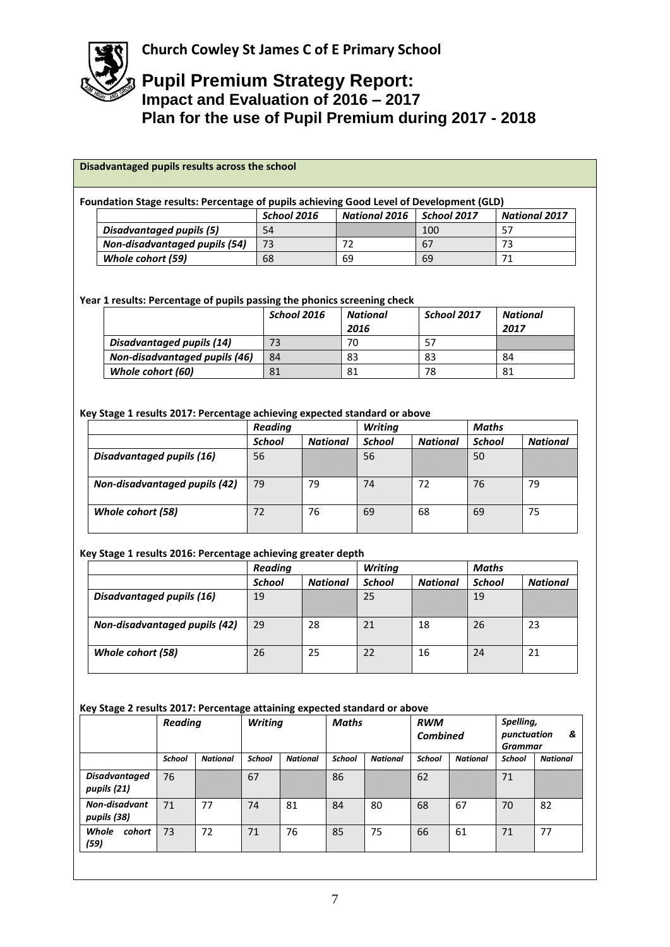

#### **Foundation Stage results: Percentage of pupils achieving Good Level of Development (GLD)**

|                               | School 2016 | National 2016 | School 2017 | <b>National 2017</b> |
|-------------------------------|-------------|---------------|-------------|----------------------|
| Disadvantaged pupils (5)      | 54          |               | 100         |                      |
| Non-disadvantaged pupils (54) |             |               | 67          |                      |
| Whole cohort (59)             | 68          | 69            | 69          |                      |

#### **Year 1 results: Percentage of pupils passing the phonics screening check**

|                               | School 2016 | National | School 2017 | National |
|-------------------------------|-------------|----------|-------------|----------|
|                               |             | 2016     |             | 2017     |
| Disadvantaged pupils (14)     |             | 70       |             |          |
| Non-disadvantaged pupils (46) | 84          | 83       | 83          | 84       |
| Whole cohort (60)             | 81          |          | 78          | 81       |

#### **Key Stage 1 results 2017: Percentage achieving expected standard or above**

|                               | <b>Reading</b> |                 | <b>Writing</b> |                 | <b>Maths</b>  |                 |
|-------------------------------|----------------|-----------------|----------------|-----------------|---------------|-----------------|
|                               | <b>School</b>  | <b>National</b> | <b>School</b>  | <b>National</b> | <b>School</b> | <b>National</b> |
| Disadvantaged pupils (16)     | 56             |                 | 56             |                 | 50            |                 |
| Non-disadvantaged pupils (42) | 79             | 79              | 74             | 72              | 76            | 79              |
| Whole cohort (58)             | 72             | 76              | 69             | 68              | 69            | 75              |

#### **Key Stage 1 results 2016: Percentage achieving greater depth**

|                               | <b>Reading</b> |                 | <b>Writing</b> |                 | <b>Maths</b>  |                 |
|-------------------------------|----------------|-----------------|----------------|-----------------|---------------|-----------------|
|                               | <b>School</b>  | <b>National</b> | <b>School</b>  | <b>National</b> | <b>School</b> | <b>National</b> |
| Disadvantaged pupils (16)     | 19             |                 | 25             |                 | 19            |                 |
| Non-disadvantaged pupils (42) | 29             | 28              | 21             | 18              | 26            | 23              |
| Whole cohort (58)             | 26             | 25              | 22             | 16              | 24            | 21              |

#### **Key Stage 2 results 2017: Percentage attaining expected standard or above**

|                                     | <b>Reading</b> |                 | <b>Writing</b> |                 | Maths         |                 | <b>RWM</b><br><b>Combined</b> |                 | Spelling,<br>&<br>punctuation<br><b>Grammar</b> |                 |
|-------------------------------------|----------------|-----------------|----------------|-----------------|---------------|-----------------|-------------------------------|-----------------|-------------------------------------------------|-----------------|
|                                     | <b>School</b>  | <b>National</b> | <b>School</b>  | <b>National</b> | <b>School</b> | <b>National</b> | <b>School</b>                 | <b>National</b> | <b>School</b>                                   | <b>National</b> |
| <b>Disadvantaged</b><br>pupils (21) | 76             |                 | 67             |                 | 86            |                 | 62                            |                 | 71                                              |                 |
| <b>Non-disadvant</b><br>pupils (38) | 71             | 77              | 74             | 81              | 84            | 80              | 68                            | 67              | 70                                              | 82              |
| Whole<br>cohort<br>(59)             | 73             | 72              | 71             | 76              | 85            | 75              | 66                            | 61              | 71                                              | 77              |